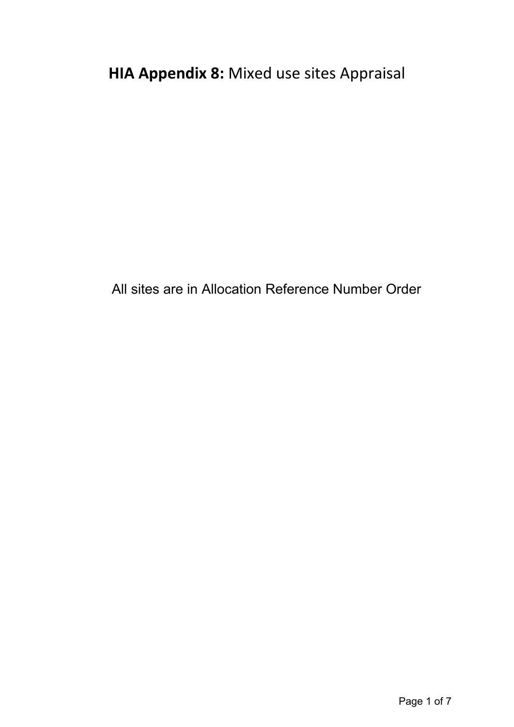All sites are in Allocation Reference Number Order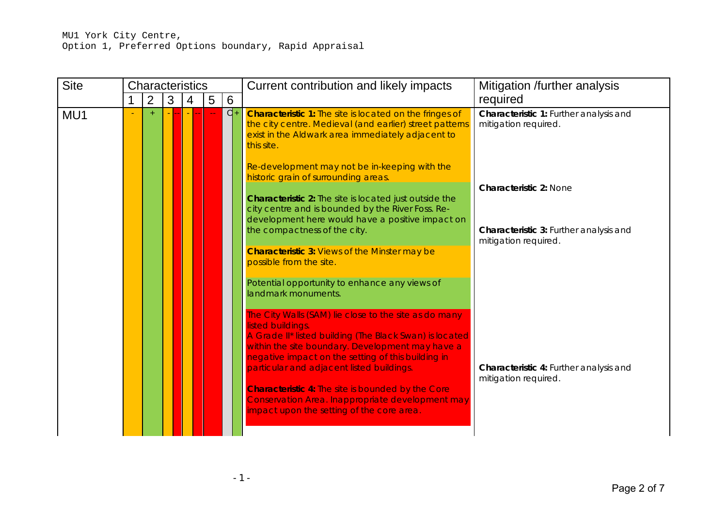| <b>Site</b> | <b>Characteristics</b> |   |   |   |      | Current contribution and likely impacts                                                                                                                                                                                                                                                      | Mitigation /further analysis                                   |
|-------------|------------------------|---|---|---|------|----------------------------------------------------------------------------------------------------------------------------------------------------------------------------------------------------------------------------------------------------------------------------------------------|----------------------------------------------------------------|
|             | $\overline{2}$         | 3 | 4 | 5 | 6    |                                                                                                                                                                                                                                                                                              | required                                                       |
| MU1         | $+$                    |   |   |   | $d+$ | <b>Characteristic 1:</b> The site is located on the fringes of<br>the city centre. Medieval (and earlier) street patterns<br>exist in the Aldwark area immediately adjacent to<br>this site.                                                                                                 | Characteristic 1: Further analysis and<br>mitigation required. |
|             |                        |   |   |   |      | Re-development may not be in-keeping with the<br>historic grain of surrounding areas.                                                                                                                                                                                                        | <b>Characteristic 2: None</b>                                  |
|             |                        |   |   |   |      | <b>Characteristic 2:</b> The site is located just outside the<br>city centre and is bounded by the River Foss. Re-                                                                                                                                                                           |                                                                |
|             |                        |   |   |   |      | development here would have a positive impact on<br>the compactness of the city.                                                                                                                                                                                                             | Characteristic 3: Further analysis and<br>mitigation required. |
|             |                        |   |   |   |      | <b>Characteristic 3: Views of the Minster may be</b><br>possible from the site.                                                                                                                                                                                                              |                                                                |
|             |                        |   |   |   |      | Potential opportunity to enhance any views of<br>landmark monuments.                                                                                                                                                                                                                         |                                                                |
|             |                        |   |   |   |      | The City Walls (SAM) lie close to the site as do many<br>listed buildings.<br>A Grade II* listed building (The Black Swan) is located<br>within the site boundary. Development may have a<br>negative impact on the setting of this building in<br>particular and adjacent listed buildings. | Characteristic 4: Further analysis and                         |
|             |                        |   |   |   |      | <b>Characteristic 4: The site is bounded by the Core</b><br>Conservation Area. Inappropriate development may<br>impact upon the setting of the core area.                                                                                                                                    | mitigation required.                                           |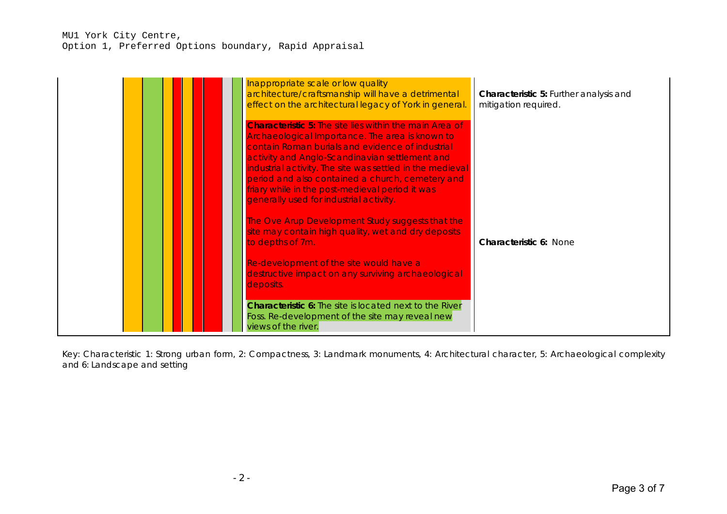| Inappropriate scale or low quality<br>architecture/craftsmanship will have a detrimental<br>effect on the architectural legacy of York in general.                                                                                                                                                                                                                                                                                     | <b>Characteristic 5: Further analysis and</b><br>mitigation required. |
|----------------------------------------------------------------------------------------------------------------------------------------------------------------------------------------------------------------------------------------------------------------------------------------------------------------------------------------------------------------------------------------------------------------------------------------|-----------------------------------------------------------------------|
| <b>Characteristic 5:</b> The site lies within the main Area of<br>Archaeological Importance. The area is known to<br>contain Roman burials and evidence of industrial<br>activity and Anglo-Scandinavian settlement and<br>industrial activity. The site was settled in the medieval<br>period and also contained a church, cemetery and<br>friary while in the post-medieval period it was<br>generally used for industrial activity. |                                                                       |
| The Ove Arup Development Study suggests that the<br>site may contain high quality, wet and dry deposits<br>to depths of 7m.                                                                                                                                                                                                                                                                                                            | <b>Characteristic 6: None</b>                                         |
| Re-development of the site would have a<br>destructive impact on any surviving archaeological<br>deposits.                                                                                                                                                                                                                                                                                                                             |                                                                       |
| <b>Characteristic 6:</b> The site is located next to the River<br>Foss. Re-development of the site may reveal new<br>views of the river.                                                                                                                                                                                                                                                                                               |                                                                       |

Key: Characteristic 1: Strong urban form, 2: Compactness, 3: Landmark monuments, 4: Architectural character, 5: Archaeological complexity and 6: Landscape and setting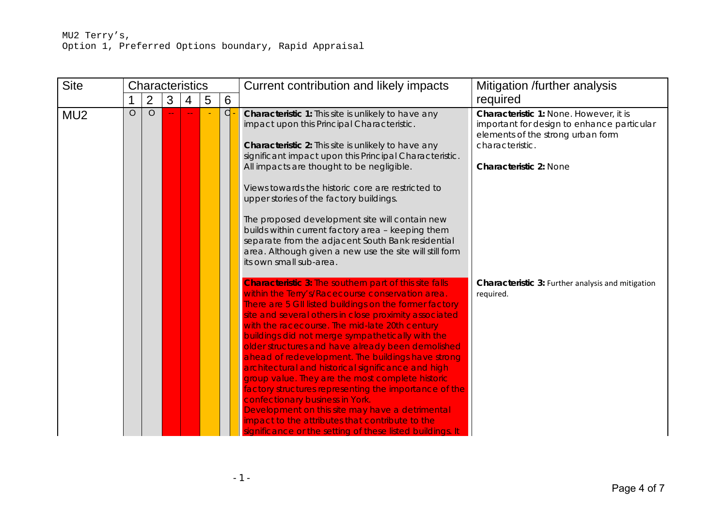| <b>Site</b>     |   | <b>Characteristics</b> |   |   |   |   | Current contribution and likely impacts                                                                                                                                                                                                                                                                                                                                                                                                                                                                                                                                                                                                                                                                                                                                                                                       | Mitigation /further analysis                                                                                                                                                  |
|-----------------|---|------------------------|---|---|---|---|-------------------------------------------------------------------------------------------------------------------------------------------------------------------------------------------------------------------------------------------------------------------------------------------------------------------------------------------------------------------------------------------------------------------------------------------------------------------------------------------------------------------------------------------------------------------------------------------------------------------------------------------------------------------------------------------------------------------------------------------------------------------------------------------------------------------------------|-------------------------------------------------------------------------------------------------------------------------------------------------------------------------------|
|                 |   | $\overline{2}$         | 3 | 4 | 5 | 6 |                                                                                                                                                                                                                                                                                                                                                                                                                                                                                                                                                                                                                                                                                                                                                                                                                               | required                                                                                                                                                                      |
| MU <sub>2</sub> | O | $\circ$                |   |   |   | d | Characteristic 1: This site is unlikely to have any<br>impact upon this Principal Characteristic.<br>Characteristic 2: This site is unlikely to have any<br>significant impact upon this Principal Characteristic.<br>All impacts are thought to be negligible.<br>Views towards the historic core are restricted to<br>upper stories of the factory buildings.<br>The proposed development site will contain new<br>builds within current factory area - keeping them<br>separate from the adjacent South Bank residential<br>area. Although given a new use the site will still form<br>its own small sub-area.                                                                                                                                                                                                             | Characteristic 1: None. However, it is<br>important for design to enhance particular<br>elements of the strong urban form<br>characteristic.<br><b>Characteristic 2: None</b> |
|                 |   |                        |   |   |   |   | <b>Characteristic 3:</b> The southern part of this site falls<br>within the Terry's/Racecourse conservation area.<br>There are 5 GII listed buildings on the former factory<br>site and several others in close proximity associated<br>with the racecourse. The mid-late 20th century<br>buildings did not merge sympathetically with the<br>older structures and have already been demolished<br>ahead of redevelopment. The buildings have strong<br>architectural and historical significance and high<br>group value. They are the most complete historic<br>factory structures representing the importance of the<br>confectionary business in York.<br>Development on this site may have a detrimental<br>impact to the attributes that contribute to the<br>significance or the setting of these listed buildings. It | Characteristic 3: Further analysis and mitigation<br>required.                                                                                                                |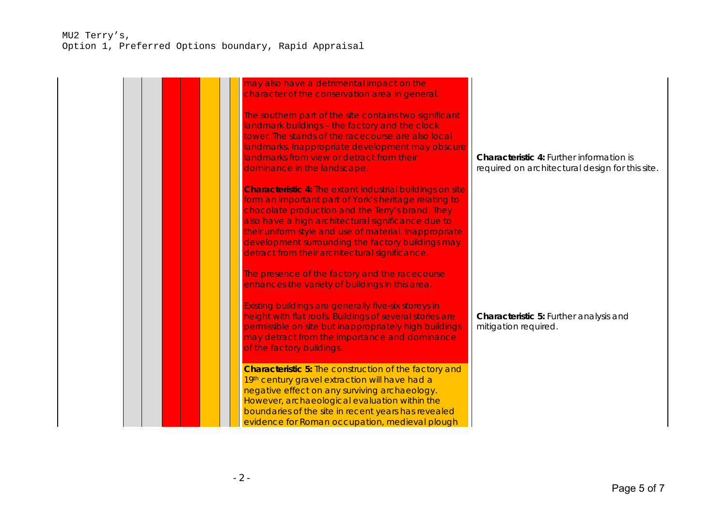## MU2 Terry's, Option 1, Preferred Options boundary, Rapid Appraisal

| may also have a detrimental impact on the<br>character of the conservation area in general.                                                                                                                                                                                                                                                                                                          |                                                                                                    |
|------------------------------------------------------------------------------------------------------------------------------------------------------------------------------------------------------------------------------------------------------------------------------------------------------------------------------------------------------------------------------------------------------|----------------------------------------------------------------------------------------------------|
| The southern part of the site contains two significant<br>landmark buildings - the factory and the clock<br>tower. The stands of the racecourse are also local<br>landmarks. Inappropriate development may obscure<br>landmarks from view or detract from their<br>dominance in the landscape.                                                                                                       | <b>Characteristic 4: Further information is</b><br>required on architectural design for this site. |
| <b>Characteristic 4: The extant industrial buildings on site</b><br>form an important part of York's heritage relating to<br>chocolate production and the Terry's brand. They<br>also have a high architectural significance due to<br>their uniform style and use of material. Inappropriate<br>development surrounding the factory buildings may<br>detract from their architectural significance. |                                                                                                    |
| The presence of the factory and the racecourse<br>enhances the variety of buildings in this area.<br>Existing buildings are generally five-six storeys in<br>height with flat roofs. Buildings of several stories are                                                                                                                                                                                | Characteristic 5: Further analysis and                                                             |
| permissible on site but inappropriately high buildings<br>may detract from the importance and dominance<br>of the factory buildings.                                                                                                                                                                                                                                                                 | mitigation required.                                                                               |
| <b>Characteristic 5: The construction of the factory and</b><br>19th century gravel extraction will have had a<br>negative effect on any surviving archaeology.<br>However, archaeological evaluation within the<br>boundaries of the site in recent years has revealed<br>evidence for Roman occupation, medieval plough                                                                            |                                                                                                    |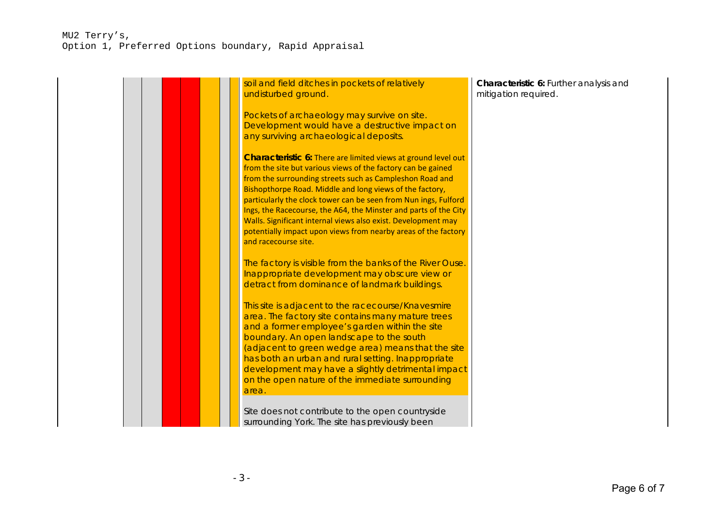## MU2 Terry's, Option 1, Preferred Options boundary, Rapid Appraisal

| soil and field ditches in pockets of relatively<br>undisturbed ground.                                                                                                                                                                                                                                                                                                                                                                                                                                                                                  | Characteristic 6: Further analysis and<br>mitigation required. |
|---------------------------------------------------------------------------------------------------------------------------------------------------------------------------------------------------------------------------------------------------------------------------------------------------------------------------------------------------------------------------------------------------------------------------------------------------------------------------------------------------------------------------------------------------------|----------------------------------------------------------------|
| Pockets of archaeology may survive on site.<br>Development would have a destructive impact on<br>any surviving archaeological deposits.                                                                                                                                                                                                                                                                                                                                                                                                                 |                                                                |
| Characteristic 6: There are limited views at ground level out<br>from the site but various views of the factory can be gained<br>from the surrounding streets such as Campleshon Road and<br>Bishopthorpe Road. Middle and long views of the factory,<br>particularly the clock tower can be seen from Nun ings, Fulford<br>Ings, the Racecourse, the A64, the Minster and parts of the City<br>Walls. Significant internal views also exist. Development may<br>potentially impact upon views from nearby areas of the factory<br>and racecourse site. |                                                                |
| The factory is visible from the banks of the River Ouse.<br>Inappropriate development may obscure view or<br>detract from dominance of landmark buildings.                                                                                                                                                                                                                                                                                                                                                                                              |                                                                |
| This site is adjacent to the racecourse/Knavesmire<br>area. The factory site contains many mature trees<br>and a former employee's garden within the site<br>boundary. An open landscape to the south<br>(adjacent to green wedge area) means that the site<br>has both an urban and rural setting. Inappropriate<br>development may have a slightly detrimental impact<br>on the open nature of the immediate surrounding<br>area.                                                                                                                     |                                                                |
| Site does not contribute to the open countryside<br>surrounding York. The site has previously been                                                                                                                                                                                                                                                                                                                                                                                                                                                      |                                                                |